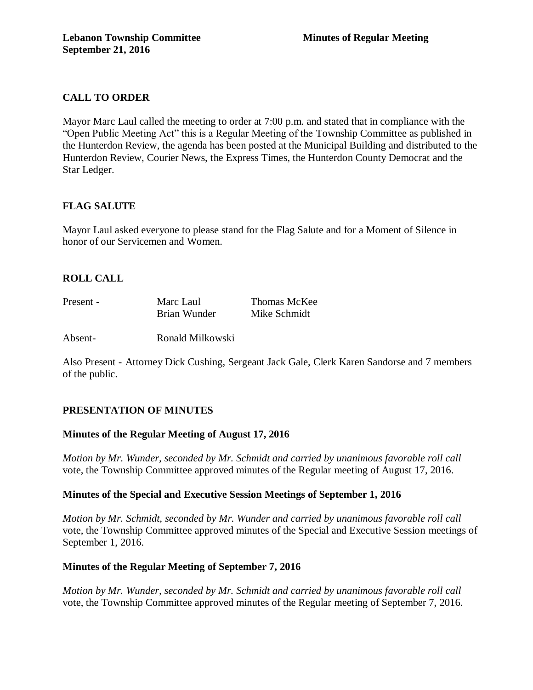# **CALL TO ORDER**

Mayor Marc Laul called the meeting to order at 7:00 p.m. and stated that in compliance with the "Open Public Meeting Act" this is a Regular Meeting of the Township Committee as published in the Hunterdon Review, the agenda has been posted at the Municipal Building and distributed to the Hunterdon Review, Courier News, the Express Times, the Hunterdon County Democrat and the Star Ledger.

# **FLAG SALUTE**

Mayor Laul asked everyone to please stand for the Flag Salute and for a Moment of Silence in honor of our Servicemen and Women.

# **ROLL CALL**

| Present - | Marc Laul    | Thomas McKee |
|-----------|--------------|--------------|
|           | Brian Wunder | Mike Schmidt |

Absent- Ronald Milkowski

Also Present - Attorney Dick Cushing, Sergeant Jack Gale, Clerk Karen Sandorse and 7 members of the public.

# **PRESENTATION OF MINUTES**

# **Minutes of the Regular Meeting of August 17, 2016**

*Motion by Mr. Wunder, seconded by Mr. Schmidt and carried by unanimous favorable roll call*  vote, the Township Committee approved minutes of the Regular meeting of August 17, 2016.

# **Minutes of the Special and Executive Session Meetings of September 1, 2016**

*Motion by Mr. Schmidt, seconded by Mr. Wunder and carried by unanimous favorable roll call*  vote, the Township Committee approved minutes of the Special and Executive Session meetings of September 1, 2016.

### **Minutes of the Regular Meeting of September 7, 2016**

*Motion by Mr. Wunder, seconded by Mr. Schmidt and carried by unanimous favorable roll call*  vote, the Township Committee approved minutes of the Regular meeting of September 7, 2016.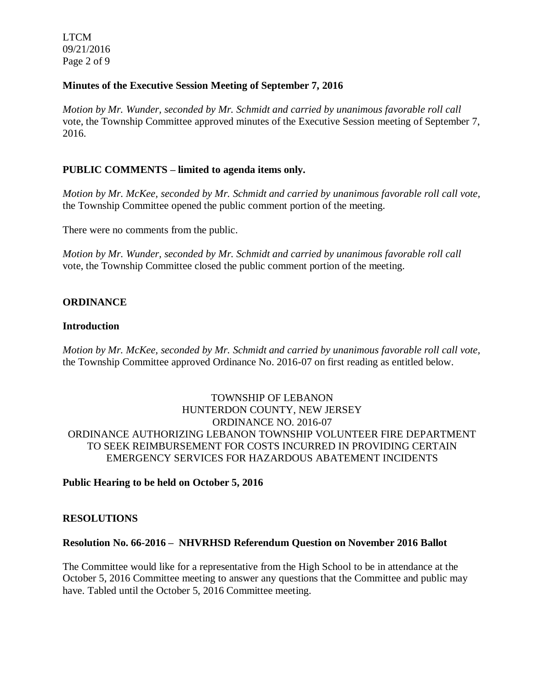LTCM 09/21/2016 Page 2 of 9

## **Minutes of the Executive Session Meeting of September 7, 2016**

*Motion by Mr. Wunder, seconded by Mr. Schmidt and carried by unanimous favorable roll call*  vote*,* the Township Committee approved minutes of the Executive Session meeting of September 7, 2016.

## **PUBLIC COMMENTS – limited to agenda items only.**

*Motion by Mr. McKee, seconded by Mr. Schmidt and carried by unanimous favorable roll call vote,* the Township Committee opened the public comment portion of the meeting.

There were no comments from the public.

*Motion by Mr. Wunder, seconded by Mr. Schmidt and carried by unanimous favorable roll call*  vote, the Township Committee closed the public comment portion of the meeting.

### **ORDINANCE**

### **Introduction**

*Motion by Mr. McKee, seconded by Mr. Schmidt and carried by unanimous favorable roll call vote,*  the Township Committee approved Ordinance No. 2016-07 on first reading as entitled below.

# TOWNSHIP OF LEBANON HUNTERDON COUNTY, NEW JERSEY ORDINANCE NO. 2016-07 ORDINANCE AUTHORIZING LEBANON TOWNSHIP VOLUNTEER FIRE DEPARTMENT TO SEEK REIMBURSEMENT FOR COSTS INCURRED IN PROVIDING CERTAIN EMERGENCY SERVICES FOR HAZARDOUS ABATEMENT INCIDENTS

### **Public Hearing to be held on October 5, 2016**

### **RESOLUTIONS**

#### **Resolution No. 66-2016 – NHVRHSD Referendum Question on November 2016 Ballot**

The Committee would like for a representative from the High School to be in attendance at the October 5, 2016 Committee meeting to answer any questions that the Committee and public may have. Tabled until the October 5, 2016 Committee meeting.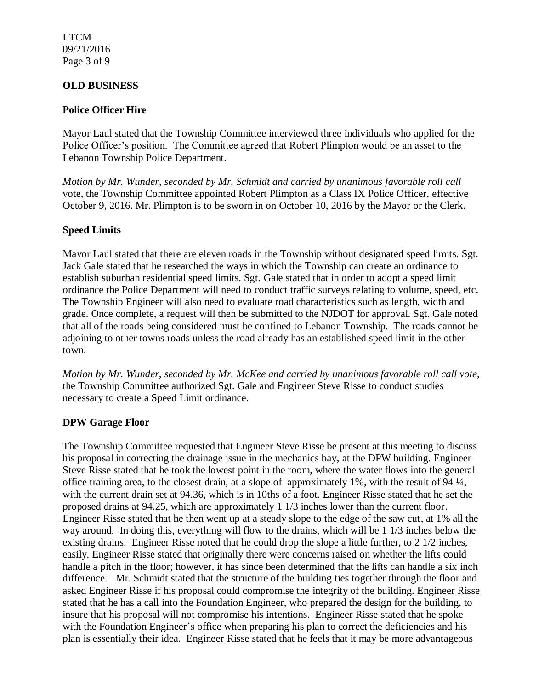LTCM 09/21/2016 Page 3 of 9

## **OLD BUSINESS**

## **Police Officer Hire**

Mayor Laul stated that the Township Committee interviewed three individuals who applied for the Police Officer's position. The Committee agreed that Robert Plimpton would be an asset to the Lebanon Township Police Department.

*Motion by Mr. Wunder, seconded by Mr. Schmidt and carried by unanimous favorable roll call*  vote, the Township Committee appointed Robert Plimpton as a Class IX Police Officer, effective October 9, 2016. Mr. Plimpton is to be sworn in on October 10, 2016 by the Mayor or the Clerk.

## **Speed Limits**

Mayor Laul stated that there are eleven roads in the Township without designated speed limits. Sgt. Jack Gale stated that he researched the ways in which the Township can create an ordinance to establish suburban residential speed limits. Sgt. Gale stated that in order to adopt a speed limit ordinance the Police Department will need to conduct traffic surveys relating to volume, speed, etc. The Township Engineer will also need to evaluate road characteristics such as length, width and grade. Once complete, a request will then be submitted to the NJDOT for approval. Sgt. Gale noted that all of the roads being considered must be confined to Lebanon Township. The roads cannot be adjoining to other towns roads unless the road already has an established speed limit in the other town.

*Motion by Mr. Wunder, seconded by Mr. McKee and carried by unanimous favorable roll call vote,* the Township Committee authorized Sgt. Gale and Engineer Steve Risse to conduct studies necessary to create a Speed Limit ordinance.

### **DPW Garage Floor**

The Township Committee requested that Engineer Steve Risse be present at this meeting to discuss his proposal in correcting the drainage issue in the mechanics bay, at the DPW building. Engineer Steve Risse stated that he took the lowest point in the room, where the water flows into the general office training area, to the closest drain, at a slope of approximately 1%, with the result of 94 ¼, with the current drain set at 94.36, which is in 10ths of a foot. Engineer Risse stated that he set the proposed drains at 94.25, which are approximately 1 1/3 inches lower than the current floor. Engineer Risse stated that he then went up at a steady slope to the edge of the saw cut, at 1% all the way around. In doing this, everything will flow to the drains, which will be 1 1/3 inches below the existing drains. Engineer Risse noted that he could drop the slope a little further, to 2 1/2 inches, easily. Engineer Risse stated that originally there were concerns raised on whether the lifts could handle a pitch in the floor; however, it has since been determined that the lifts can handle a six inch difference. Mr. Schmidt stated that the structure of the building ties together through the floor and asked Engineer Risse if his proposal could compromise the integrity of the building. Engineer Risse stated that he has a call into the Foundation Engineer, who prepared the design for the building, to insure that his proposal will not compromise his intentions. Engineer Risse stated that he spoke with the Foundation Engineer's office when preparing his plan to correct the deficiencies and his plan is essentially their idea. Engineer Risse stated that he feels that it may be more advantageous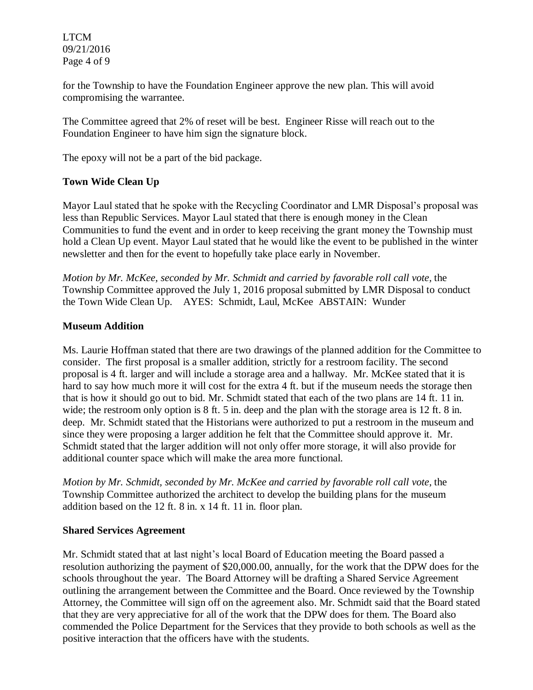LTCM 09/21/2016 Page 4 of 9

for the Township to have the Foundation Engineer approve the new plan. This will avoid compromising the warrantee.

The Committee agreed that 2% of reset will be best. Engineer Risse will reach out to the Foundation Engineer to have him sign the signature block.

The epoxy will not be a part of the bid package.

# **Town Wide Clean Up**

Mayor Laul stated that he spoke with the Recycling Coordinator and LMR Disposal's proposal was less than Republic Services. Mayor Laul stated that there is enough money in the Clean Communities to fund the event and in order to keep receiving the grant money the Township must hold a Clean Up event. Mayor Laul stated that he would like the event to be published in the winter newsletter and then for the event to hopefully take place early in November.

*Motion by Mr. McKee, seconded by Mr. Schmidt and carried by favorable roll call vote,* the Township Committee approved the July 1, 2016 proposal submitted by LMR Disposal to conduct the Town Wide Clean Up. AYES: Schmidt, Laul, McKee ABSTAIN: Wunder

## **Museum Addition**

Ms. Laurie Hoffman stated that there are two drawings of the planned addition for the Committee to consider. The first proposal is a smaller addition, strictly for a restroom facility. The second proposal is 4 ft. larger and will include a storage area and a hallway. Mr. McKee stated that it is hard to say how much more it will cost for the extra 4 ft. but if the museum needs the storage then that is how it should go out to bid. Mr. Schmidt stated that each of the two plans are 14 ft. 11 in. wide; the restroom only option is 8 ft. 5 in. deep and the plan with the storage area is 12 ft. 8 in. deep. Mr. Schmidt stated that the Historians were authorized to put a restroom in the museum and since they were proposing a larger addition he felt that the Committee should approve it. Mr. Schmidt stated that the larger addition will not only offer more storage, it will also provide for additional counter space which will make the area more functional.

*Motion by Mr. Schmidt, seconded by Mr. McKee and carried by favorable roll call vote,* the Township Committee authorized the architect to develop the building plans for the museum addition based on the 12 ft. 8 in. x 14 ft. 11 in. floor plan.

### **Shared Services Agreement**

Mr. Schmidt stated that at last night's local Board of Education meeting the Board passed a resolution authorizing the payment of \$20,000.00, annually, for the work that the DPW does for the schools throughout the year. The Board Attorney will be drafting a Shared Service Agreement outlining the arrangement between the Committee and the Board. Once reviewed by the Township Attorney, the Committee will sign off on the agreement also. Mr. Schmidt said that the Board stated that they are very appreciative for all of the work that the DPW does for them. The Board also commended the Police Department for the Services that they provide to both schools as well as the positive interaction that the officers have with the students.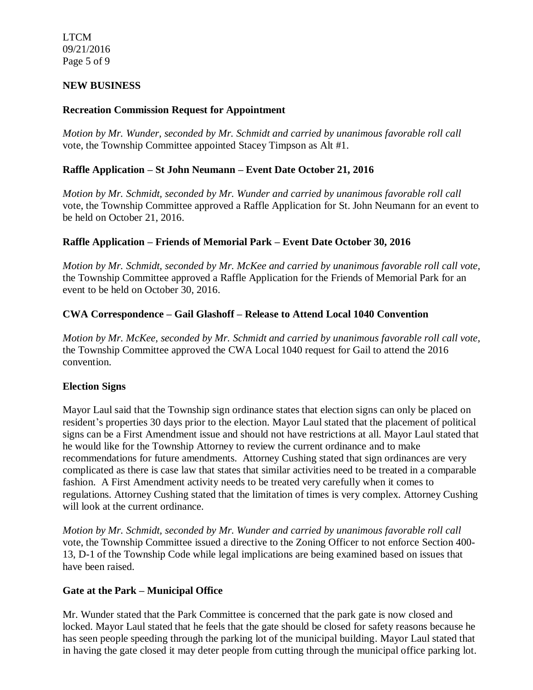LTCM 09/21/2016 Page 5 of 9

## **NEW BUSINESS**

## **Recreation Commission Request for Appointment**

*Motion by Mr. Wunder, seconded by Mr. Schmidt and carried by unanimous favorable roll call*  vote, the Township Committee appointed Stacey Timpson as Alt #1.

## **Raffle Application – St John Neumann – Event Date October 21, 2016**

*Motion by Mr. Schmidt, seconded by Mr. Wunder and carried by unanimous favorable roll call*  vote, the Township Committee approved a Raffle Application for St. John Neumann for an event to be held on October 21, 2016.

## **Raffle Application – Friends of Memorial Park – Event Date October 30, 2016**

*Motion by Mr. Schmidt, seconded by Mr. McKee and carried by unanimous favorable roll call vote,* the Township Committee approved a Raffle Application for the Friends of Memorial Park for an event to be held on October 30, 2016.

## **CWA Correspondence – Gail Glashoff – Release to Attend Local 1040 Convention**

*Motion by Mr. McKee, seconded by Mr. Schmidt and carried by unanimous favorable roll call vote,* the Township Committee approved the CWA Local 1040 request for Gail to attend the 2016 convention.

### **Election Signs**

Mayor Laul said that the Township sign ordinance states that election signs can only be placed on resident's properties 30 days prior to the election. Mayor Laul stated that the placement of political signs can be a First Amendment issue and should not have restrictions at all. Mayor Laul stated that he would like for the Township Attorney to review the current ordinance and to make recommendations for future amendments. Attorney Cushing stated that sign ordinances are very complicated as there is case law that states that similar activities need to be treated in a comparable fashion. A First Amendment activity needs to be treated very carefully when it comes to regulations. Attorney Cushing stated that the limitation of times is very complex. Attorney Cushing will look at the current ordinance.

*Motion by Mr. Schmidt, seconded by Mr. Wunder and carried by unanimous favorable roll call*  vote, the Township Committee issued a directive to the Zoning Officer to not enforce Section 400- 13, D-1 of the Township Code while legal implications are being examined based on issues that have been raised.

### **Gate at the Park – Municipal Office**

Mr. Wunder stated that the Park Committee is concerned that the park gate is now closed and locked. Mayor Laul stated that he feels that the gate should be closed for safety reasons because he has seen people speeding through the parking lot of the municipal building. Mayor Laul stated that in having the gate closed it may deter people from cutting through the municipal office parking lot.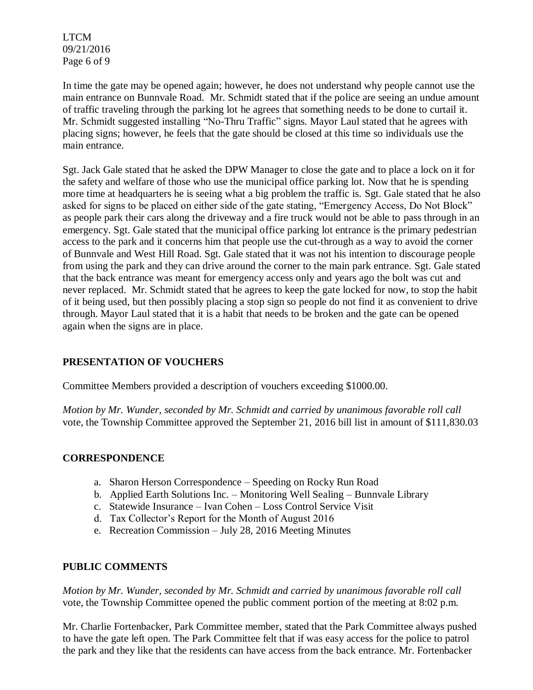LTCM 09/21/2016 Page 6 of 9

In time the gate may be opened again; however, he does not understand why people cannot use the main entrance on Bunnvale Road. Mr. Schmidt stated that if the police are seeing an undue amount of traffic traveling through the parking lot he agrees that something needs to be done to curtail it. Mr. Schmidt suggested installing "No-Thru Traffic" signs. Mayor Laul stated that he agrees with placing signs; however, he feels that the gate should be closed at this time so individuals use the main entrance.

Sgt. Jack Gale stated that he asked the DPW Manager to close the gate and to place a lock on it for the safety and welfare of those who use the municipal office parking lot. Now that he is spending more time at headquarters he is seeing what a big problem the traffic is. Sgt. Gale stated that he also asked for signs to be placed on either side of the gate stating, "Emergency Access, Do Not Block" as people park their cars along the driveway and a fire truck would not be able to pass through in an emergency. Sgt. Gale stated that the municipal office parking lot entrance is the primary pedestrian access to the park and it concerns him that people use the cut-through as a way to avoid the corner of Bunnvale and West Hill Road. Sgt. Gale stated that it was not his intention to discourage people from using the park and they can drive around the corner to the main park entrance. Sgt. Gale stated that the back entrance was meant for emergency access only and years ago the bolt was cut and never replaced. Mr. Schmidt stated that he agrees to keep the gate locked for now, to stop the habit of it being used, but then possibly placing a stop sign so people do not find it as convenient to drive through. Mayor Laul stated that it is a habit that needs to be broken and the gate can be opened again when the signs are in place.

# **PRESENTATION OF VOUCHERS**

Committee Members provided a description of vouchers exceeding \$1000.00.

*Motion by Mr. Wunder, seconded by Mr. Schmidt and carried by unanimous favorable roll call*  vote, the Township Committee approved the September 21, 2016 bill list in amount of \$111,830.03

### **CORRESPONDENCE**

- a. Sharon Herson Correspondence Speeding on Rocky Run Road
- b. Applied Earth Solutions Inc. Monitoring Well Sealing Bunnvale Library
- c. Statewide Insurance Ivan Cohen Loss Control Service Visit
- d. Tax Collector's Report for the Month of August 2016
- e. Recreation Commission July 28, 2016 Meeting Minutes

### **PUBLIC COMMENTS**

*Motion by Mr. Wunder, seconded by Mr. Schmidt and carried by unanimous favorable roll call*  vote, the Township Committee opened the public comment portion of the meeting at 8:02 p.m.

Mr. Charlie Fortenbacker, Park Committee member, stated that the Park Committee always pushed to have the gate left open. The Park Committee felt that if was easy access for the police to patrol the park and they like that the residents can have access from the back entrance. Mr. Fortenbacker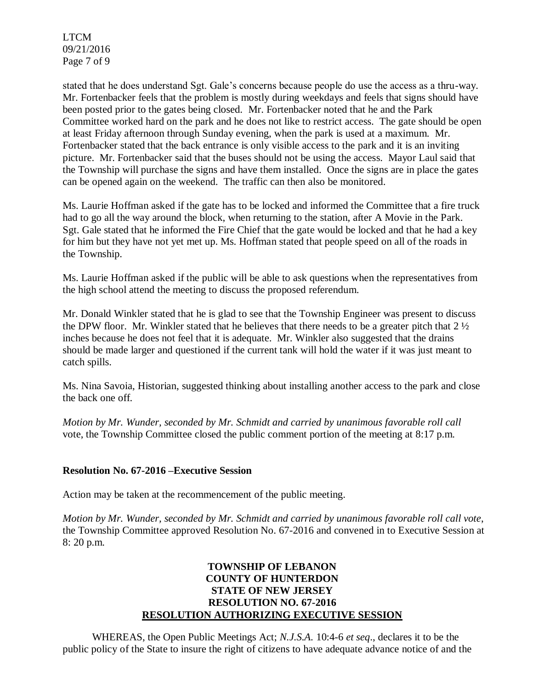LTCM 09/21/2016 Page 7 of 9

stated that he does understand Sgt. Gale's concerns because people do use the access as a thru-way. Mr. Fortenbacker feels that the problem is mostly during weekdays and feels that signs should have been posted prior to the gates being closed. Mr. Fortenbacker noted that he and the Park Committee worked hard on the park and he does not like to restrict access. The gate should be open at least Friday afternoon through Sunday evening, when the park is used at a maximum. Mr. Fortenbacker stated that the back entrance is only visible access to the park and it is an inviting picture. Mr. Fortenbacker said that the buses should not be using the access. Mayor Laul said that the Township will purchase the signs and have them installed. Once the signs are in place the gates can be opened again on the weekend. The traffic can then also be monitored.

Ms. Laurie Hoffman asked if the gate has to be locked and informed the Committee that a fire truck had to go all the way around the block, when returning to the station, after A Movie in the Park. Sgt. Gale stated that he informed the Fire Chief that the gate would be locked and that he had a key for him but they have not yet met up. Ms. Hoffman stated that people speed on all of the roads in the Township.

Ms. Laurie Hoffman asked if the public will be able to ask questions when the representatives from the high school attend the meeting to discuss the proposed referendum.

Mr. Donald Winkler stated that he is glad to see that the Township Engineer was present to discuss the DPW floor. Mr. Winkler stated that he believes that there needs to be a greater pitch that 2 ½ inches because he does not feel that it is adequate. Mr. Winkler also suggested that the drains should be made larger and questioned if the current tank will hold the water if it was just meant to catch spills.

Ms. Nina Savoia, Historian, suggested thinking about installing another access to the park and close the back one off.

*Motion by Mr. Wunder, seconded by Mr. Schmidt and carried by unanimous favorable roll call* vote, the Township Committee closed the public comment portion of the meeting at 8:17 p.m.

### **Resolution No. 67-2016 –Executive Session**

Action may be taken at the recommencement of the public meeting.

*Motion by Mr. Wunder, seconded by Mr. Schmidt and carried by unanimous favorable roll call vote*, the Township Committee approved Resolution No. 67-2016 and convened in to Executive Session at 8: 20 p.m.

# **TOWNSHIP OF LEBANON COUNTY OF HUNTERDON STATE OF NEW JERSEY RESOLUTION NO. 67-2016 RESOLUTION AUTHORIZING EXECUTIVE SESSION**

WHEREAS, the Open Public Meetings Act; *N.J.S.A.* 10:4-6 *et seq*., declares it to be the public policy of the State to insure the right of citizens to have adequate advance notice of and the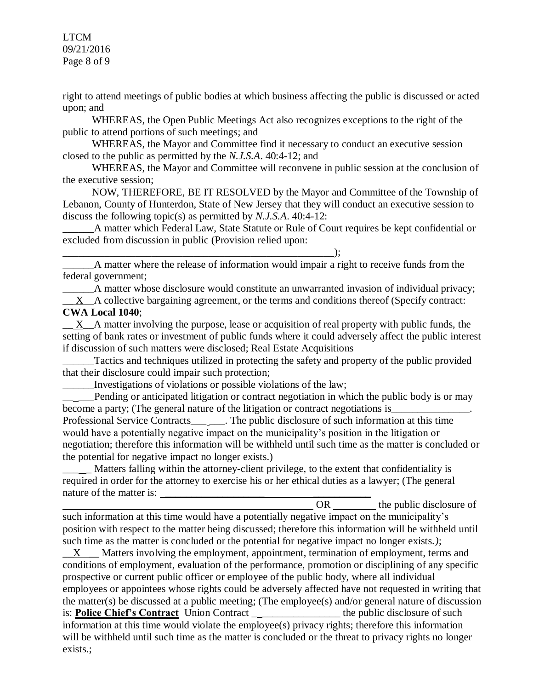LTCM 09/21/2016 Page 8 of 9

right to attend meetings of public bodies at which business affecting the public is discussed or acted upon; and

WHEREAS, the Open Public Meetings Act also recognizes exceptions to the right of the public to attend portions of such meetings; and

WHEREAS, the Mayor and Committee find it necessary to conduct an executive session closed to the public as permitted by the *N.J.S.A*. 40:4-12; and

WHEREAS, the Mayor and Committee will reconvene in public session at the conclusion of the executive session;

NOW, THEREFORE, BE IT RESOLVED by the Mayor and Committee of the Township of Lebanon, County of Hunterdon, State of New Jersey that they will conduct an executive session to discuss the following topic(s) as permitted by *N.J.S.A*. 40:4-12:

\_\_\_\_\_\_A matter which Federal Law, State Statute or Rule of Court requires be kept confidential or excluded from discussion in public (Provision relied upon:

\_\_\_\_\_\_A matter where the release of information would impair a right to receive funds from the federal government;

\_\_\_\_\_\_A matter whose disclosure would constitute an unwarranted invasion of individual privacy; X A collective bargaining agreement, or the terms and conditions thereof (Specify contract: **CWA Local 1040**;

 $\_\_$ X $\_\_A$  matter involving the purpose, lease or acquisition of real property with public funds, the setting of bank rates or investment of public funds where it could adversely affect the public interest if discussion of such matters were disclosed; Real Estate Acquisitions

Tactics and techniques utilized in protecting the safety and property of the public provided that their disclosure could impair such protection;

\_\_\_\_\_\_Investigations of violations or possible violations of the law;

\_\_\_\_\_\_\_\_\_\_\_\_\_\_\_\_\_\_\_\_\_\_\_\_\_\_\_\_\_\_\_\_\_\_\_\_\_\_\_\_\_\_\_\_\_\_\_\_\_\_\_\_);

Pending or anticipated litigation or contract negotiation in which the public body is or may become a party; (The general nature of the litigation or contract negotiations is\_\_\_\_\_\_\_\_\_\_\_\_\_\_\_. Professional Service Contracts\_\_\_\_\_\_. The public disclosure of such information at this time would have a potentially negative impact on the municipality's position in the litigation or negotiation; therefore this information will be withheld until such time as the matter is concluded or the potential for negative impact no longer exists.)

Matters falling within the attorney-client privilege, to the extent that confidentiality is required in order for the attorney to exercise his or her ethical duties as a lawyer; (The general nature of the matter is:

OR the public disclosure of such information at this time would have a potentially negative impact on the municipality's position with respect to the matter being discussed; therefore this information will be withheld until such time as the matter is concluded or the potential for negative impact no longer exists.*)*;

 $\underline{X}$  Matters involving the employment, appointment, termination of employment, terms and conditions of employment, evaluation of the performance, promotion or disciplining of any specific prospective or current public officer or employee of the public body, where all individual employees or appointees whose rights could be adversely affected have not requested in writing that the matter(s) be discussed at a public meeting; (The employee(s) and/or general nature of discussion is: **Police Chief's Contract** Union Contract \_\_\_\_\_\_\_\_\_\_\_\_\_\_\_\_ the public disclosure of such information at this time would violate the employee(s) privacy rights; therefore this information will be withheld until such time as the matter is concluded or the threat to privacy rights no longer exists.;